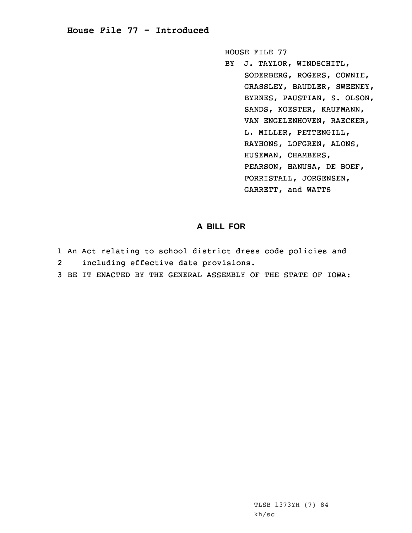## **House File 77 - Introduced**

HOUSE FILE 77

BY J. TAYLOR, WINDSCHITL, SODERBERG, ROGERS, COWNIE, GRASSLEY, BAUDLER, SWEENEY, BYRNES, PAUSTIAN, S. OLSON, SANDS, KOESTER, KAUFMANN, VAN ENGELENHOVEN, RAECKER, L. MILLER, PETTENGILL, RAYHONS, LOFGREN, ALONS, HUSEMAN, CHAMBERS, PEARSON, HANUSA, DE BOEF, FORRISTALL, JORGENSEN, GARRETT, and WATTS

## **A BILL FOR**

- 1 An Act relating to school district dress code policies and
- 2including effective date provisions.
- 3 BE IT ENACTED BY THE GENERAL ASSEMBLY OF THE STATE OF IOWA: